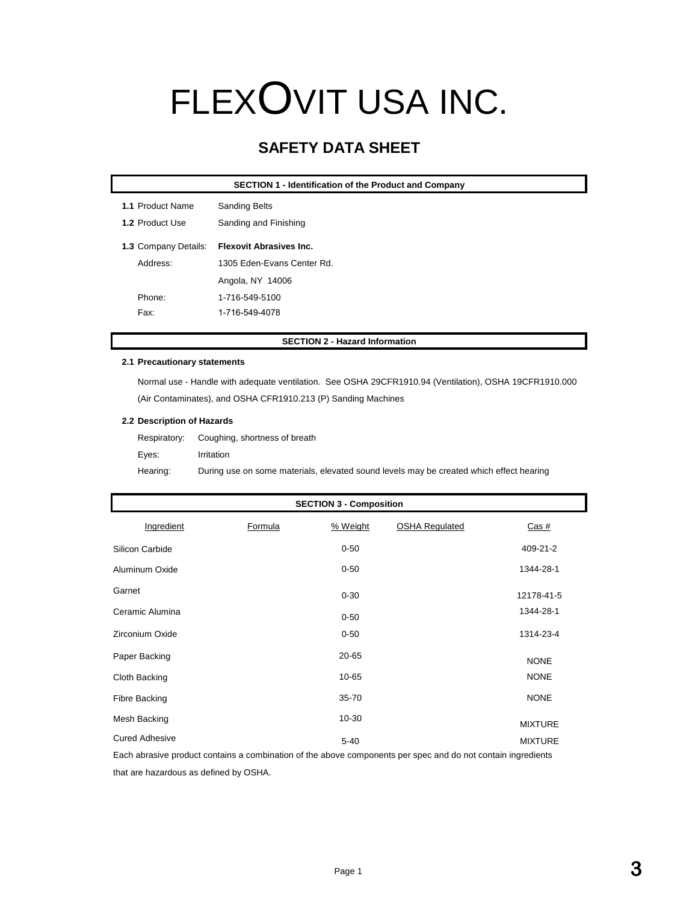# FLEXOVIT USA INC.

## **SAFETY DATA SHEET**

|                      | <b>SECTION 1 - Identification of the Product and Company</b> |
|----------------------|--------------------------------------------------------------|
| 1.1 Product Name     | <b>Sanding Belts</b>                                         |
| 1.2 Product Use      | Sanding and Finishing                                        |
| 1.3 Company Details: | <b>Flexovit Abrasives Inc.</b>                               |
| Address:             | 1305 Eden-Evans Center Rd.                                   |
|                      | Angola, NY 14006                                             |
| Phone:               | 1-716-549-5100                                               |
| Fax:                 | 1-716-549-4078                                               |

#### **SECTION 2 - Hazard Information**

#### **2.1 Precautionary statements**

Normal use - Handle with adequate ventilation. See OSHA 29CFR1910.94 (Ventilation), OSHA 19CFR1910.000 (Air Contaminates), and OSHA CFR1910.213 (P) Sanding Machines

#### **2.2 Description of Hazards**

|          | Respiratory: Coughing, shortness of breath                                              |
|----------|-----------------------------------------------------------------------------------------|
| Eves:    | Irritation                                                                              |
| Hearing: | During use on some materials, elevated sound levels may be created which effect hearing |

| <b>SECTION 3 - Composition</b> |         |           |                       |                |
|--------------------------------|---------|-----------|-----------------------|----------------|
| Ingredient                     | Formula | % Weight  | <b>OSHA Regulated</b> | <u>Cas #</u>   |
| Silicon Carbide                |         | $0 - 50$  |                       | 409-21-2       |
| Aluminum Oxide                 |         | $0 - 50$  |                       | 1344-28-1      |
| Garnet                         |         | $0 - 30$  |                       | 12178-41-5     |
| Ceramic Alumina                |         | $0 - 50$  |                       | 1344-28-1      |
| Zirconium Oxide                |         | $0 - 50$  |                       | 1314-23-4      |
| Paper Backing                  |         | 20-65     |                       | <b>NONE</b>    |
| Cloth Backing                  |         | 10-65     |                       | <b>NONE</b>    |
| <b>Fibre Backing</b>           |         | 35-70     |                       | <b>NONE</b>    |
| Mesh Backing                   |         | $10 - 30$ |                       | <b>MIXTURE</b> |
| <b>Cured Adhesive</b>          |         | $5 - 40$  |                       | <b>MIXTURE</b> |

Each abrasive product contains a combination of the above components per spec and do not contain ingredients that are hazardous as defined by OSHA.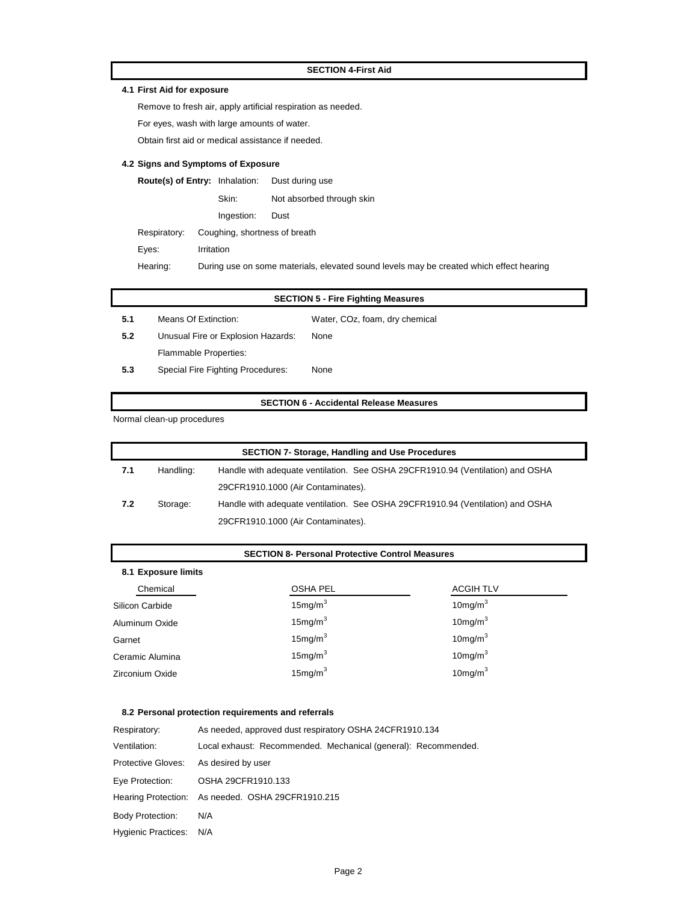#### **SECTION 4-First Aid**

#### **4.1 First Aid for exposure**

Remove to fresh air, apply artificial respiration as needed.

For eyes, wash with large amounts of water.

Obtain first aid or medical assistance if needed.

#### **4.2 Signs and Symptoms of Exposure**

| <b>Route(s) of Entry: Inhalation:</b> |            |            | Dust during use               |
|---------------------------------------|------------|------------|-------------------------------|
|                                       |            | Skin:      | Not absorbed through skin     |
|                                       |            | Ingestion: | Dust                          |
| Respiratory:                          |            |            | Coughing, shortness of breath |
| Eyes:                                 | Irritation |            |                               |

Hearing: During use on some materials, elevated sound levels may be created which effect hearing

|        |                      | <b>SECTION 5 - Fire Fighting Measures</b> |  |
|--------|----------------------|-------------------------------------------|--|
| $-5.1$ | Means Of Extinction: | Water, COz, foam, dry chemical            |  |

- **5.2** Unusual Fire or Explosion Hazards: None Flammable Properties:
- **5.3** Special Fire Fighting Procedures: None

#### **SECTION 6 - Accidental Release Measures**

Normal clean-up procedures

| <b>SECTION 7- Storage, Handling and Use Procedures</b> |           |                                                                                |  |  |
|--------------------------------------------------------|-----------|--------------------------------------------------------------------------------|--|--|
| -7.1                                                   | Handling: | Handle with adequate ventilation. See OSHA 29CFR1910.94 (Ventilation) and OSHA |  |  |
|                                                        |           | 29CFR1910.1000 (Air Contaminates).                                             |  |  |
| 7.2                                                    | Storage:  | Handle with adequate ventilation. See OSHA 29CFR1910.94 (Ventilation) and OSHA |  |  |
|                                                        |           | 29CFR1910.1000 (Air Contaminates).                                             |  |  |

#### **SECTION 8- Personal Protective Control Measures**

| 8.1 Exposure limits |                     |                  |  |  |  |
|---------------------|---------------------|------------------|--|--|--|
| Chemical            | <b>OSHA PEL</b>     | <b>ACGIH TLV</b> |  |  |  |
| Silicon Carbide     | 15mg/m <sup>3</sup> | $10$ mg/m $3$    |  |  |  |
| Aluminum Oxide      | 15mg/m <sup>3</sup> | $10$ mg/m $3$    |  |  |  |
| Garnet              | 15mg/m <sup>3</sup> | $10$ mg/m $3$    |  |  |  |
| Ceramic Alumina     | 15mg/m <sup>3</sup> | 10 $mg/m3$       |  |  |  |
| Zirconium Oxide     | 15mg/m <sup>3</sup> | $10$ mg/m $3$    |  |  |  |

#### **8.2 Personal protection requirements and referrals**

| Respiratory:               | As needed, approved dust respiratory OSHA 24CFR1910.134        |  |  |  |
|----------------------------|----------------------------------------------------------------|--|--|--|
| Ventilation:               | Local exhaust: Recommended. Mechanical (general): Recommended. |  |  |  |
| <b>Protective Gloves:</b>  | As desired by user                                             |  |  |  |
| Eye Protection:            | OSHA 29CFR1910.133                                             |  |  |  |
|                            | Hearing Protection: As needed. OSHA 29CFR1910.215              |  |  |  |
| <b>Body Protection:</b>    | N/A                                                            |  |  |  |
| <b>Hygienic Practices:</b> | N/A                                                            |  |  |  |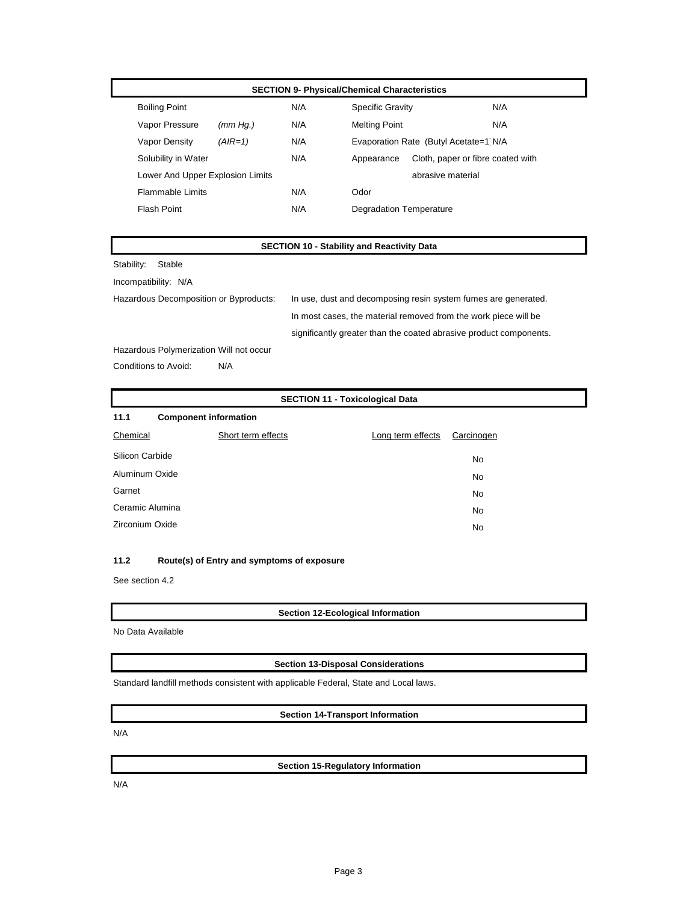#### **SECTION 9- Physical/Chemical Characteristics**

| <b>Boiling Point</b>             |          | N/A | <b>Specific Gravity</b> |                                       | N/A |
|----------------------------------|----------|-----|-------------------------|---------------------------------------|-----|
| Vapor Pressure                   | (mm Hq.) | N/A | <b>Melting Point</b>    |                                       | N/A |
| Vapor Density                    | (AIR=1)  | N/A |                         | Evaporation Rate (Butyl Acetate=1 N/A |     |
| Solubility in Water              |          | N/A | Appearance              | Cloth, paper or fibre coated with     |     |
| Lower And Upper Explosion Limits |          |     |                         | abrasive material                     |     |
| <b>Flammable Limits</b>          |          | N/A | Odor                    |                                       |     |
| Flash Point                      |          | N/A | Degradation Temperature |                                       |     |
|                                  |          |     |                         |                                       |     |

### **SECTION 10 - Stability and Reactivity Data**

Stability: Stable Incompatibility: N/A

Hazardous Decomposition or Byproducts: In use, dust and decomposing resin system fumes are generated. In most cases, the material removed from the work piece will be significantly greater than the coated abrasive product components.

Hazardous Polymerization Will not occur

Conditions to Avoid: N/A

#### **SECTION 11 - Toxicological Data**

| 11.1                  | <b>Component information</b> |                   |            |  |  |
|-----------------------|------------------------------|-------------------|------------|--|--|
| Chemical              | Short term effects           | Long term effects | Carcinogen |  |  |
|                       | Silicon Carbide<br>No        |                   |            |  |  |
| Aluminum Oxide        |                              | No                |            |  |  |
| Garnet                |                              | No                |            |  |  |
|                       | Ceramic Alumina<br>No        |                   |            |  |  |
| Zirconium Oxide<br>No |                              |                   |            |  |  |

#### **11.2 Route(s) of Entry and symptoms of exposure**

See section 4.2

**Section 12-Ecological Information**

No Data Available

#### **Section 13-Disposal Considerations**

Standard landfill methods consistent with applicable Federal, State and Local laws.

#### **Section 14-Transport Information**

N/A

**Section 15-Regulatory Information**

N/A